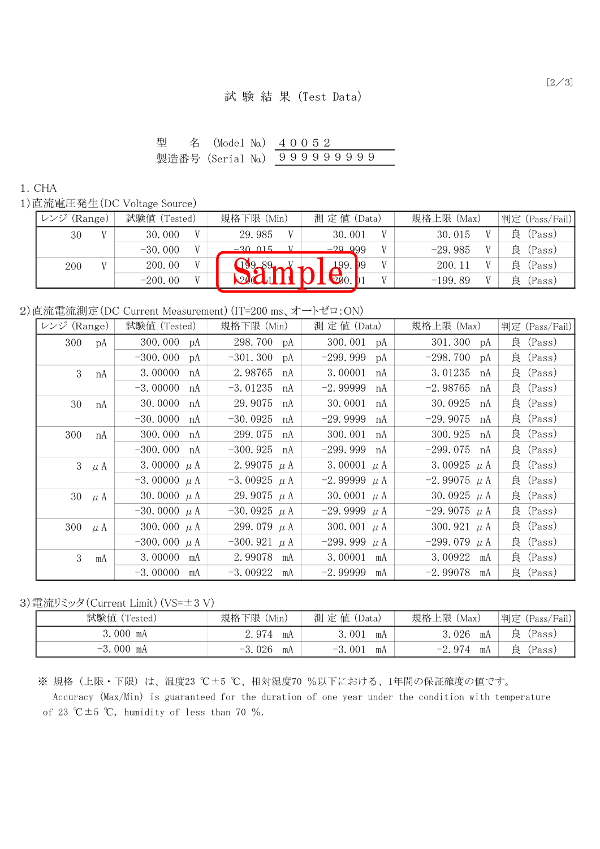| 型 | 名 (Model No.) 40052        |  |  |  |  |  |  |
|---|----------------------------|--|--|--|--|--|--|
|   | 製造番号(Serial No.) 999999999 |  |  |  |  |  |  |

## 1.CHA

1)直流電圧発生(DC Voltage Source)

| (Range)<br>ハンジ | 試験値 (Tested) |              | 規格下限 (Min) | 測 定 値 (Data)        | 規格上限 (Max) | 判定 (Pass/Fail) |
|----------------|--------------|--------------|------------|---------------------|------------|----------------|
| 30             | 30.000       | $\mathbf{V}$ | 29.985     | 30.001              | 30.015     | 良<br>(Pass)    |
|                | $-30.000$    |              | $-30.015$  | <u>-29 999</u>      | $-29.985$  | 良<br>(Pass)    |
| 200            | 200.00       |              | 19989      | 199. <sub>199</sub> | 200.11     | 良<br>(Pass)    |
|                | $-200.00$    |              |            | $\nabla 0.$         | $-199.89$  | (Pass)<br>良    |

2)直流電流測定(DC Current Measurement)(IT=200 ms、オートゼロ:ON)

| レンジ (Range) |    | 試験値 (Tested)     | 規格下限 (Min)         | 測 定 値 (Data)     | 規格上限 (Max)         | 判定 (Pass/Fail) |
|-------------|----|------------------|--------------------|------------------|--------------------|----------------|
| 300         | pA | 300.000 pA       | 298.700 pA         | 300.001 pA       | 301.300 pA         | 良 (Pass)       |
|             |    | $-300.000$<br>pA | $-301.300$<br>pA   | $-299.999$<br>рA | $-298.700$<br>рA   | 良(Pass)        |
| 3           | nA | 3.00000<br>nA    | 2.98765<br>nA      | 3.00001<br>nA    | 3.01235<br>nA      | 良 (Pass)       |
|             |    | $-3.00000$<br>nA | $-3.01235$<br>nA   | $-2.99999$<br>nA | $-2.98765$<br>nA   | 良 (Pass)       |
| 30          | nA | 30.0000<br>nA    | 29.9075<br>nA      | 30.0001<br>nA    | 30.0925<br>nA      | 良 (Pass)       |
|             |    | $-30.0000$<br>nA | $-30.0925$<br>nA   | $-29.9999$<br>nA | $-29.9075$<br>nA   | 良 (Pass)       |
| 300         | nA | 300.000<br>nA    | 299.075<br>nA      | 300.001<br>nA    | 300.925<br>nA      | 良 (Pass)       |
|             |    | $-300,000$<br>nA | $-300.925$ nA      | $-299.999$<br>nA | $-299.075$ nA      | 良 (Pass)       |
| $3$ $\mu$ A |    | 3.00000 $\mu$ A  | 2.99075 $\mu$ A    | 3.00001 $\mu$ A  | 3.00925 $\mu$ A    | 良 (Pass)       |
|             |    | $-3.00000 \mu A$ | $-3.00925$ $\mu$ A | $-2.99999 \mu A$ | $-2.99075$ $\mu$ A | 良 (Pass)       |
| 30 $\mu$ A  |    | 30.0000 $\mu$ A  | 29.9075 $\mu$ A    | 30.0001 $\mu$ A  | 30.0925 $\mu$ A    | 良 (Pass)       |
|             |    | $-30.0000 \mu A$ | $-30.0925$ $\mu$ A | $-29.9999 \mu A$ | $-29.9075$ $\mu$ A | 良 (Pass)       |
| 300 $\mu$ A |    | 300.000 $\mu$ A  | 299.079 $\mu$ A    | 300.001 $\mu$ A  | 300.921 $\mu$ A    | 良 (Pass)       |
|             |    | $-300.000 \mu A$ | $-300.921$ $\mu$ A | $-299.999 \mu A$ | $-299.079$ $\mu$ A | 良 (Pass)       |
| 3           | mA | 3.00000 mA       | 2.99078 mA         | 3.00001<br>mA    | 3.00922<br>mA      | 良 (Pass)       |
|             |    | $-3.00000$<br>mA | $-3.00922$<br>mA   | $-2.99999$<br>mA | $-2.99078$<br>mA   | 良 (Pass)       |

3)電流リミッタ(Current Limit)(VS=±3 V)

| 試験値            | 規格                | 測定             | 上限                                     | 判定                 |
|----------------|-------------------|----------------|----------------------------------------|--------------------|
| $\sqrt{2}$     | 下限                | 値              | 規格.                                    | (Fail)             |
| [ested)        | 'Min)             | $'$ Data       | (Max)                                  | (Pass/             |
| 3.000          | 974               | 001            | 3.026                                  | 良                  |
| mA             | mA                | mA             | mA                                     | 'Pass)             |
| $-3.000$<br>mA | .026<br>mA<br>-3. | $-3.001$<br>mA | -974<br>$\overline{\phantom{0}}$<br>mA | 良<br><i>(Pass)</i> |

※ 規格(上限・下限)は、温度23 ℃±5 ℃、相対湿度70 %以下における、1年間の保証確度の値です。 Accuracy (Max/Min) is guaranteed for the duration of one year under the condition with temperature of 23 °C $\pm$ 5 °C, humidity of less than 70 %.